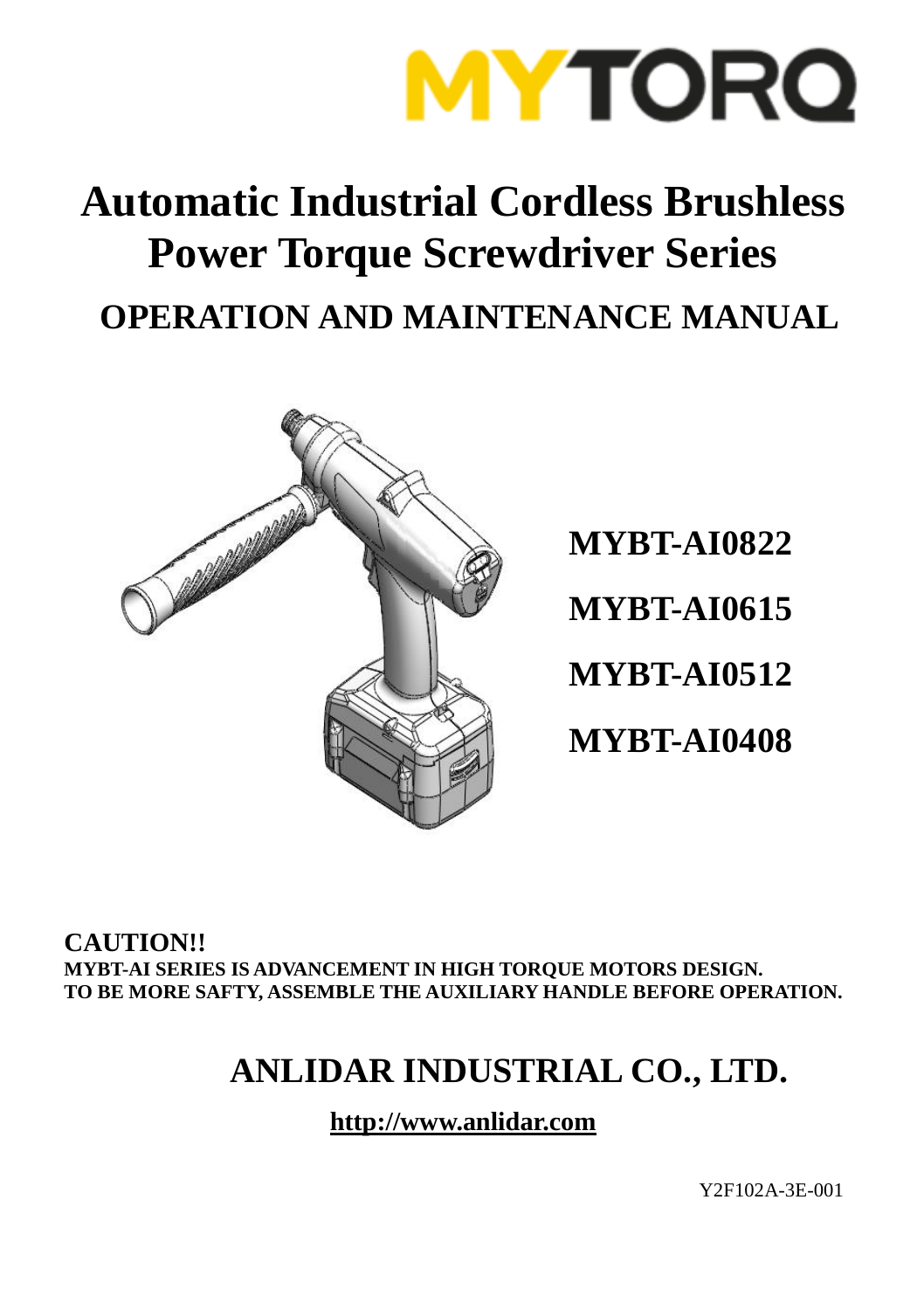

## **Automatic Industrial Cordless Brushless Power Torque Screwdriver Series OPERATION AND MAINTENANCE MANUAL**



**MYBT-AI0822 MYBT-AI0615 MYBT-AI0512 MYBT-AI0408**

**CAUTION!! MYBT-AI SERIES IS ADVANCEMENT IN HIGH TORQUE MOTORS DESIGN. TO BE MORE SAFTY, ASSEMBLE THE AUXILIARY HANDLE BEFORE OPERATION.** 

### **ANLIDAR INDUSTRIAL CO., LTD.**

**http://www.anlidar.com**

Y2F102A-3E-001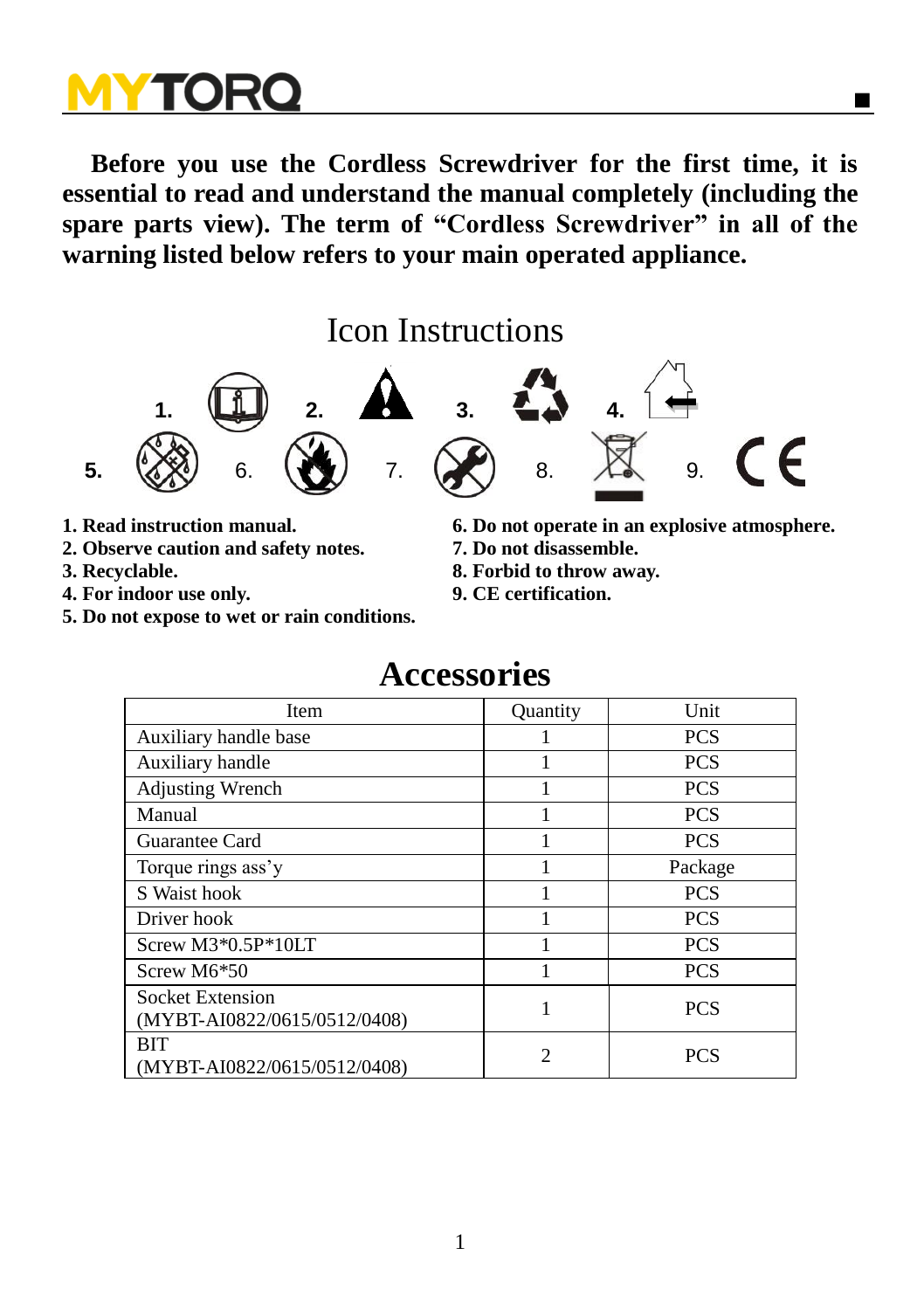**Before you use the Cordless Screwdriver for the first time, it is essential to read and understand the manual completely (including the spare parts view). The term of "Cordless Screwdriver" in all of the warning listed below refers to your main operated appliance.** 

### Icon Instructions



- 
- **2. Observe caution and safety notes.**
- 
- **4. For indoor use only. 9. CE certification.**
- **5. Do not expose to wet or rain conditions.**
- **1. Read instruction manual. 6. Do not operate in an explosive atmosphere.**
	-
- **3. Recyclable. 8. Forbid to throw away.**
	-

### **Accessories**

| Item                                                    | Quantity                    | Unit       |
|---------------------------------------------------------|-----------------------------|------------|
| Auxiliary handle base                                   |                             | <b>PCS</b> |
| Auxiliary handle                                        |                             | <b>PCS</b> |
| <b>Adjusting Wrench</b>                                 |                             | <b>PCS</b> |
| Manual                                                  |                             | <b>PCS</b> |
| Guarantee Card                                          |                             | <b>PCS</b> |
| Torque rings ass'y                                      |                             | Package    |
| S Waist hook                                            |                             | <b>PCS</b> |
| Driver hook                                             |                             | <b>PCS</b> |
| Screw M3*0.5P*10LT                                      |                             | <b>PCS</b> |
| Screw M6*50                                             |                             | <b>PCS</b> |
| <b>Socket Extension</b><br>(MYBT-AI0822/0615/0512/0408) |                             | <b>PCS</b> |
| BIT<br>(MYBT-AI0822/0615/0512/0408)                     | $\mathcal{D}_{\mathcal{A}}$ | <b>PCS</b> |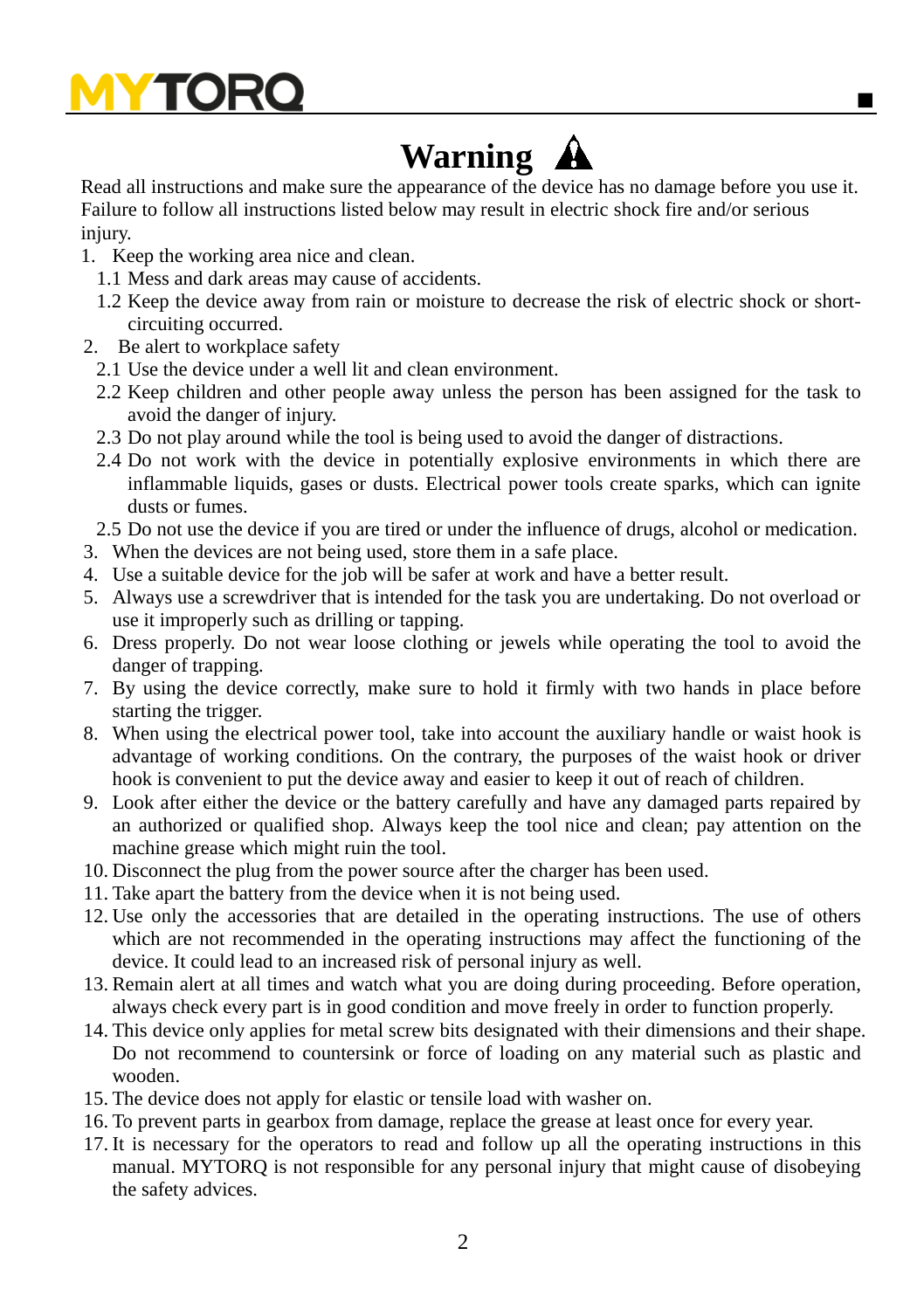

## **Warning**

Read all instructions and make sure the appearance of the device has no damage before you use it. Failure to follow all instructions listed below may result in electric shock fire and/or serious injury.

- 1. Keep the working area nice and clean.
	- 1.1 Mess and dark areas may cause of accidents.
	- 1.2 Keep the device away from rain or moisture to decrease the risk of electric shock or shortcircuiting occurred.
- 2. Be alert to workplace safety
	- 2.1 Use the device under a well lit and clean environment.
	- 2.2 Keep children and other people away unless the person has been assigned for the task to avoid the danger of injury.
	- 2.3 Do not play around while the tool is being used to avoid the danger of distractions.
	- 2.4 Do not work with the device in potentially explosive environments in which there are inflammable liquids, gases or dusts. Electrical power tools create sparks, which can ignite dusts or fumes.
	- 2.5 Do not use the device if you are tired or under the influence of drugs, alcohol or medication.
- 3. When the devices are not being used, store them in a safe place.
- 4. Use a suitable device for the job will be safer at work and have a better result.
- 5. Always use a screwdriver that is intended for the task you are undertaking. Do not overload or use it improperly such as drilling or tapping.
- 6. Dress properly. Do not wear loose clothing or jewels while operating the tool to avoid the danger of trapping.
- 7. By using the device correctly, make sure to hold it firmly with two hands in place before starting the trigger.
- 8. When using the electrical power tool, take into account the auxiliary handle or waist hook is advantage of working conditions. On the contrary, the purposes of the waist hook or driver hook is convenient to put the device away and easier to keep it out of reach of children.
- 9. Look after either the device or the battery carefully and have any damaged parts repaired by an authorized or qualified shop. Always keep the tool nice and clean; pay attention on the machine grease which might ruin the tool.
- 10. Disconnect the plug from the power source after the charger has been used.
- 11. Take apart the battery from the device when it is not being used.
- 12. Use only the accessories that are detailed in the operating instructions. The use of others which are not recommended in the operating instructions may affect the functioning of the device. It could lead to an increased risk of personal injury as well.
- 13. Remain alert at all times and watch what you are doing during proceeding. Before operation, always check every part is in good condition and move freely in order to function properly.
- 14. This device only applies for metal screw bits designated with their dimensions and their shape. Do not recommend to countersink or force of loading on any material such as plastic and wooden.
- 15. The device does not apply for elastic or tensile load with washer on.
- 16. To prevent parts in gearbox from damage, replace the grease at least once for every year.
- 17. It is necessary for the operators to read and follow up all the operating instructions in this manual. MYTORQ is not responsible for any personal injury that might cause of disobeying the safety advices.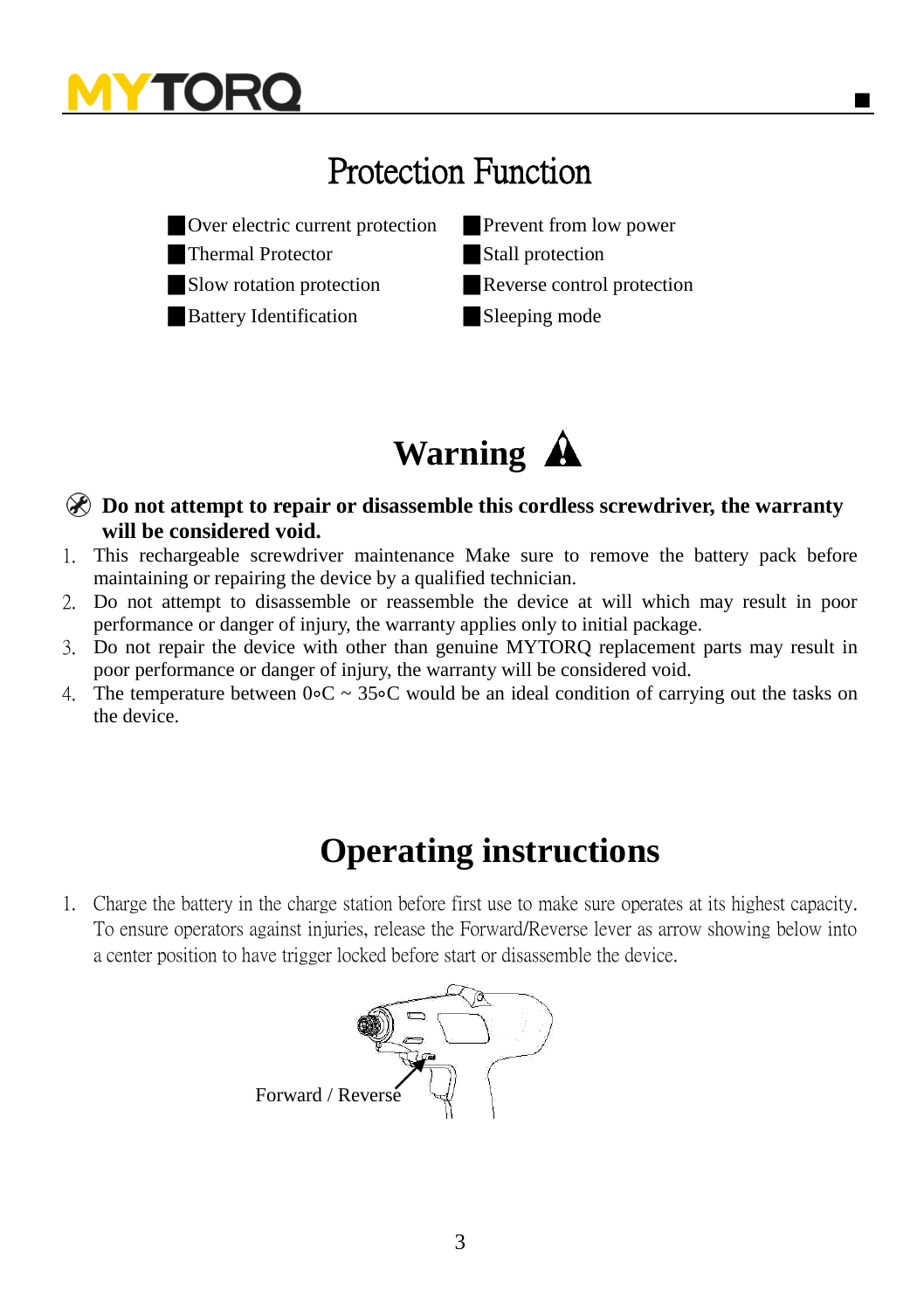## Protection Function





**Do not attempt to repair or disassemble this cordless screwdriver, the warranty will be considered void.**

- 1. This rechargeable screwdriver maintenance Make sure to remove the battery pack before maintaining or repairing the device by a qualified technician.
- 2. Do not attempt to disassemble or reassemble the device at will which may result in poor performance or danger of injury, the warranty applies only to initial package.
- 3. Do not repair the device with other than genuine MYTORQ replacement parts may result in poor performance or danger of injury, the warranty will be considered void.
- 4. The temperature between 0∘C ~ 35∘C would be an ideal condition of carrying out the tasks on the device.

### **Operating instructions**

1. Charge the battery in the charge station before first use to make sure operates at its highest capacity. To ensure operators against injuries, release the Forward/Reverse lever as arrow showing below into a center position to have trigger locked before start or disassemble the device.

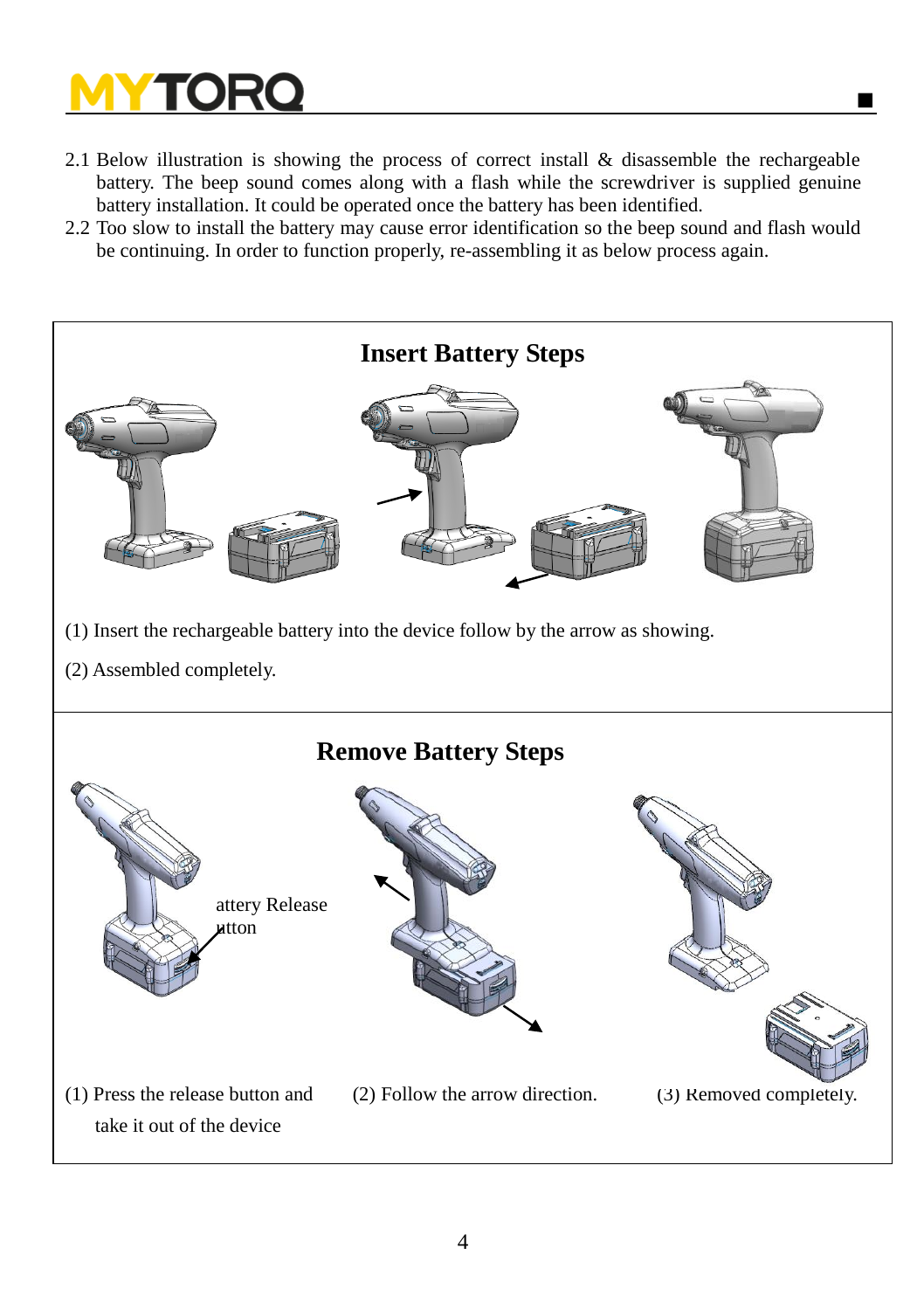- 2.1 Below illustration is showing the process of correct install & disassemble the rechargeable battery. The beep sound comes along with a flash while the screwdriver is supplied genuine battery installation. It could be operated once the battery has been identified.
- 2.2 Too slow to install the battery may cause error identification so the beep sound and flash would be continuing. In order to function properly, re-assembling it as below process again.

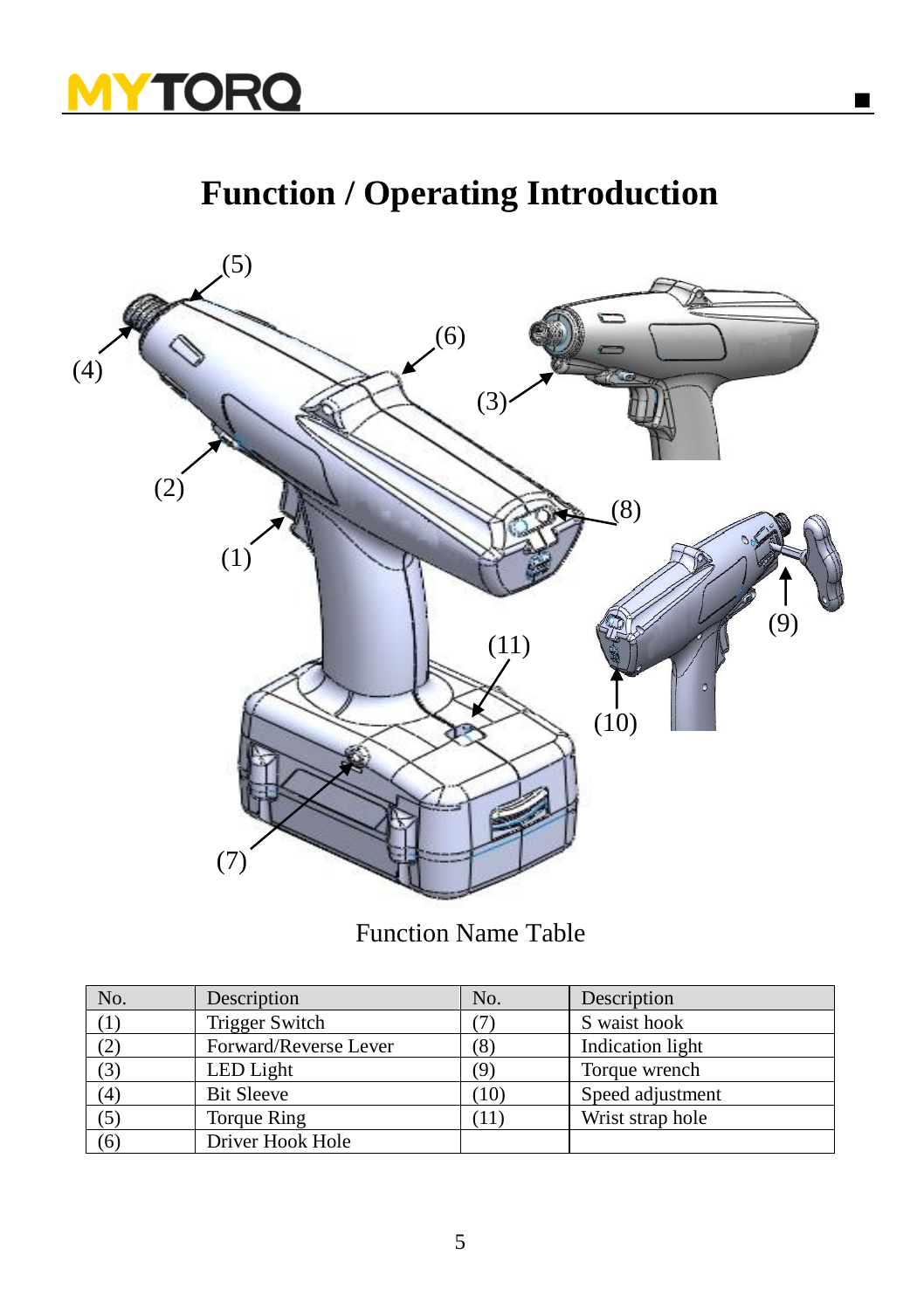

## **Function / Operating Introduction**



Function Name Table

| No. | Description           | No.  | Description      |
|-----|-----------------------|------|------------------|
|     | Trigger Switch        |      | S waist hook     |
| (2) | Forward/Reverse Lever | (8)  | Indication light |
| (3) | LED Light             | (Q   | Torque wrench    |
| (4) | <b>Bit Sleeve</b>     | (10) | Speed adjustment |
| (5) | Torque Ring           | 11   | Wrist strap hole |
| (6) | Driver Hook Hole      |      |                  |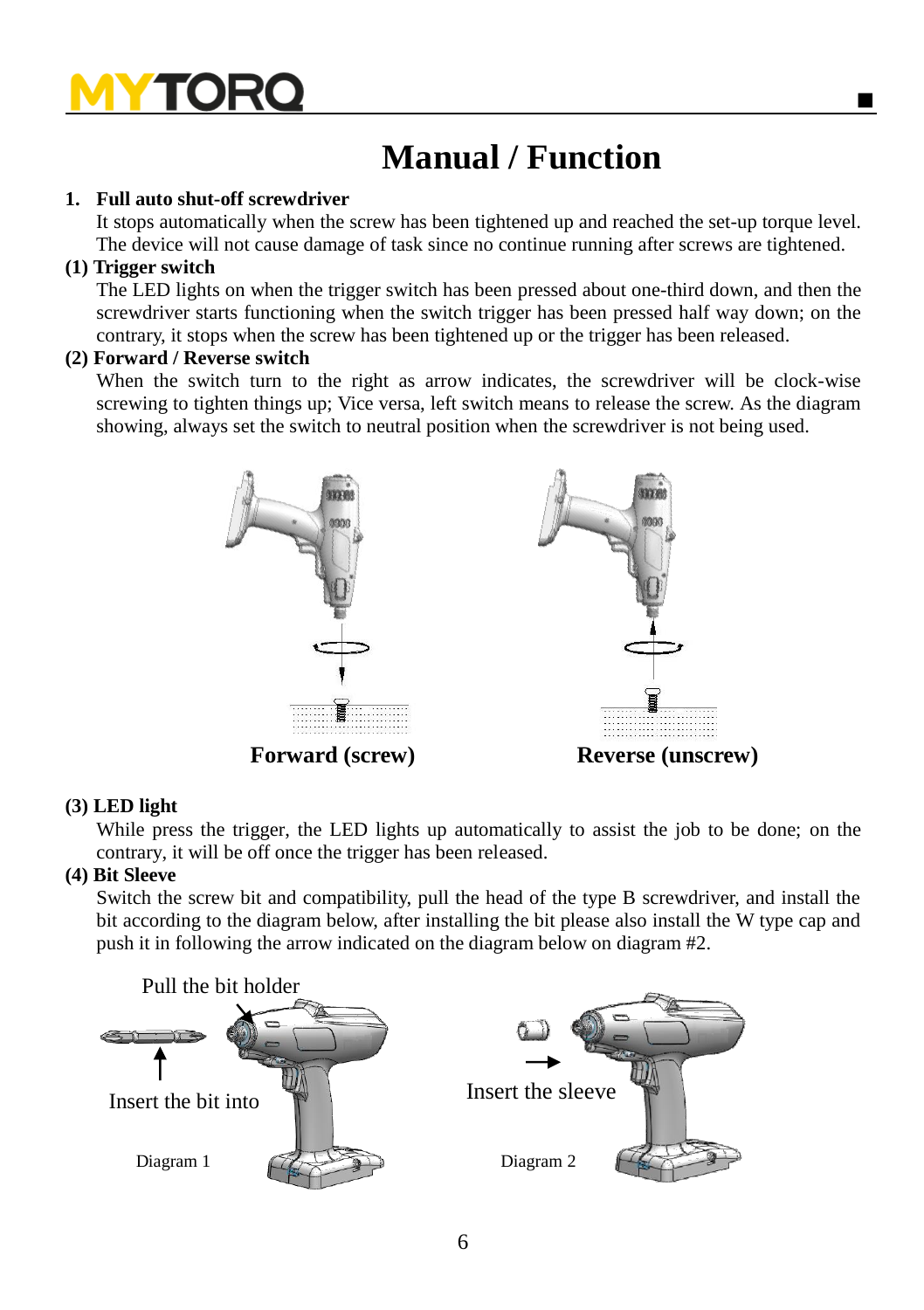## **Manual / Function**

### **1. Full auto shut-off screwdriver**

It stops automatically when the screw has been tightened up and reached the set-up torque level. The device will not cause damage of task since no continue running after screws are tightened.

#### **(1) Trigger switch**

The LED lights on when the trigger switch has been pressed about one-third down, and then the screwdriver starts functioning when the switch trigger has been pressed half way down; on the contrary, it stops when the screw has been tightened up or the trigger has been released.

### **(2) Forward / Reverse switch**

When the switch turn to the right as arrow indicates, the screwdriver will be clock-wise screwing to tighten things up; Vice versa, left switch means to release the screw. As the diagram showing, always set the switch to neutral position when the screwdriver is not being used.



#### **(3) LED light**

While press the trigger, the LED lights up automatically to assist the job to be done; on the contrary, it will be off once the trigger has been released.

#### **(4) Bit Sleeve**

Switch the screw bit and compatibility, pull the head of the type B screwdriver, and install the bit according to the diagram below, after installing the bit please also install the W type cap and push it in following the arrow indicated on the diagram below on diagram #2.

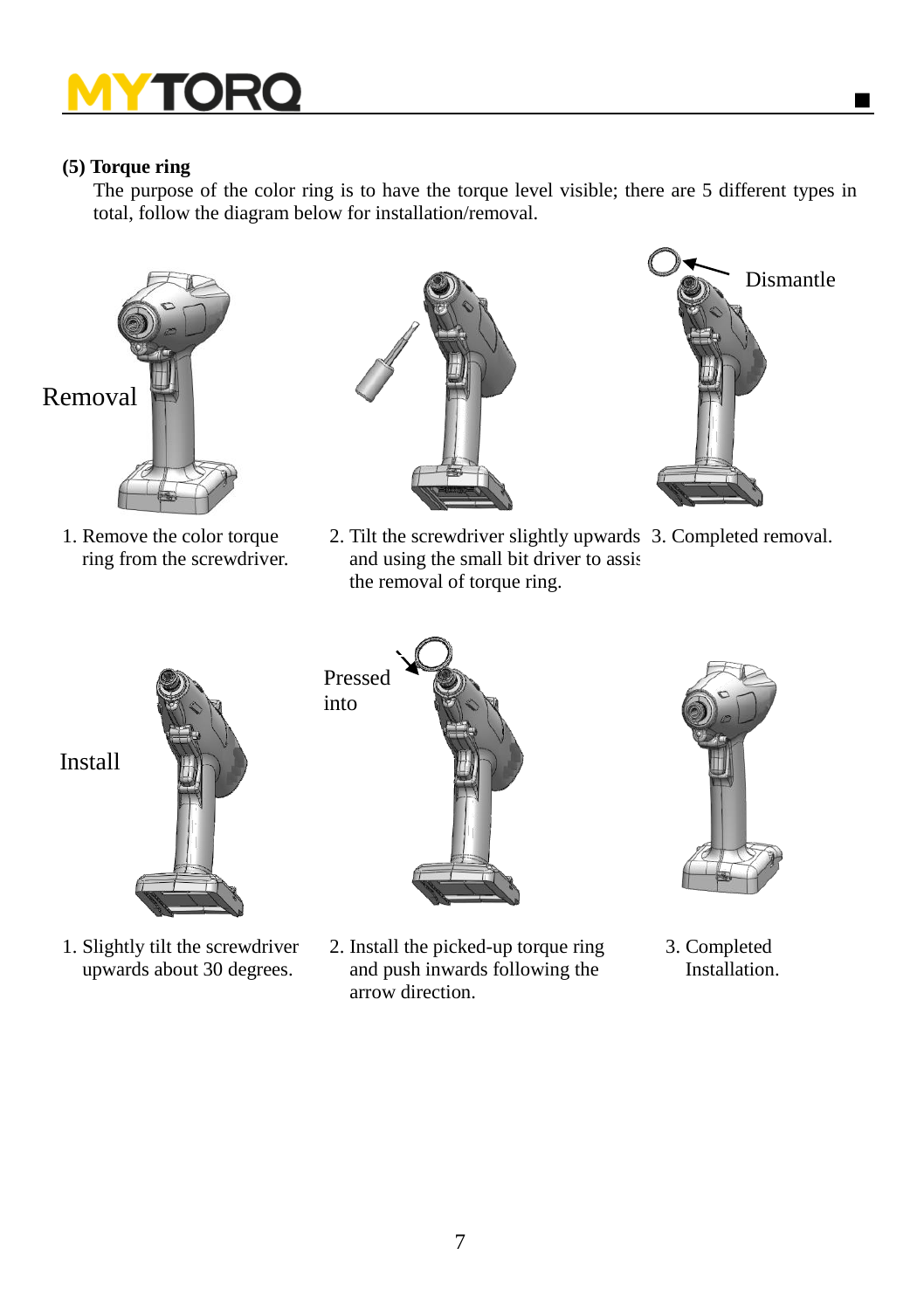### **(5) Torque ring**

The purpose of the color ring is to have the torque level visible; there are 5 different types in total, follow the diagram below for installation/removal.



1. Remove the color torque ring from the screwdriver.



2. Tilt the screwdriver slightly upwards 3. Completed removal. and using the small bit driver to assis the removal of torque ring.



1. Slightly tilt the screwdriver upwards about 30 degrees.

Pressed into



2. Install the picked-up torque ring and push inwards following the arrow direction.



Dismantle

e

 3. Completed **Installation**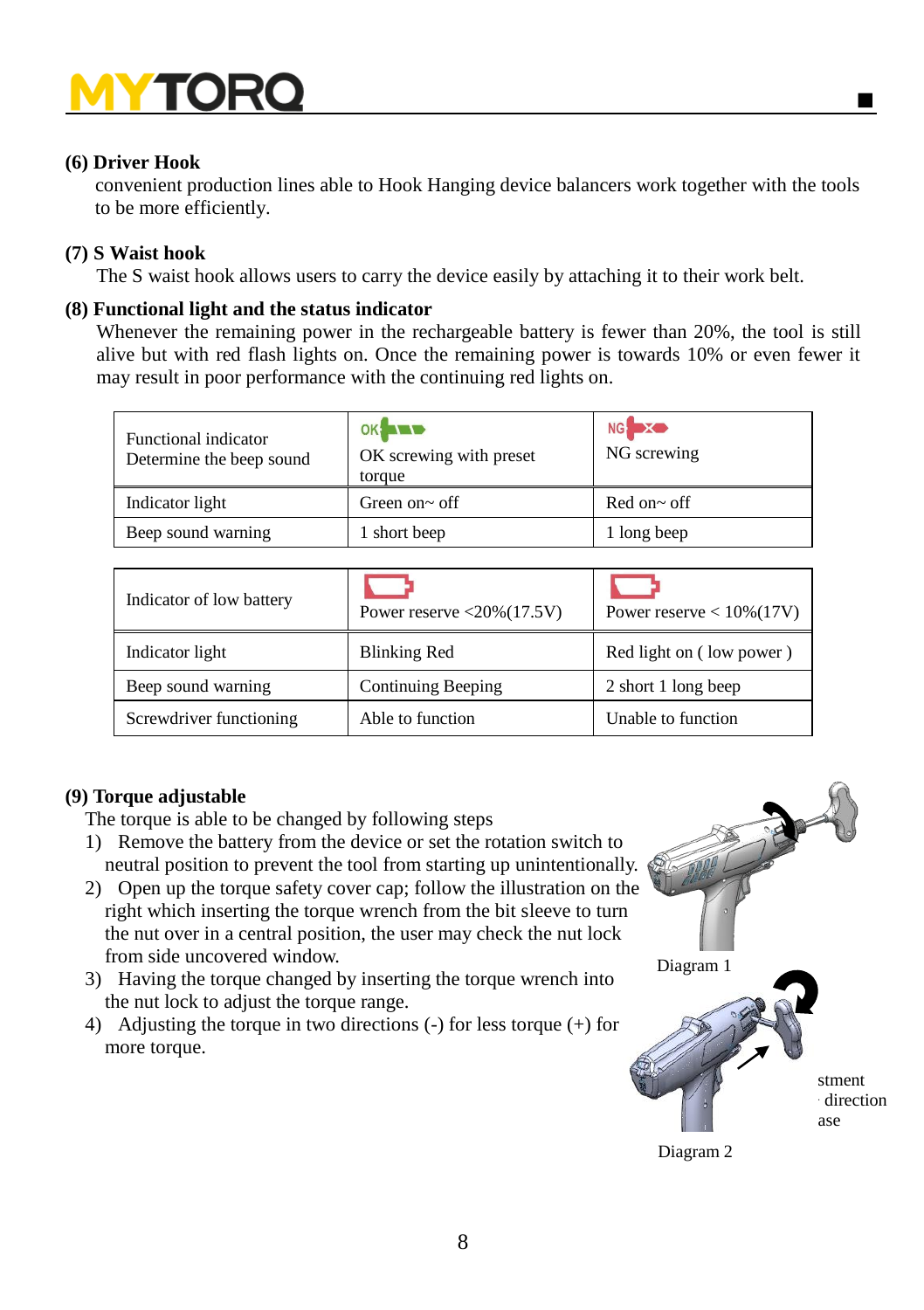### **(6) Driver Hook**

convenient production lines able to Hook Hanging device balancers work together with the tools to be more efficiently.

### **(7) S Waist hook**

The S waist hook allows users to carry the device easily by attaching it to their work belt.

### **(8) Functional light and the status indicator**

Whenever the remaining power in the rechargeable battery is fewer than 20%, the tool is still alive but with red flash lights on. Once the remaining power is towards 10% or even fewer it may result in poor performance with the continuing red lights on.

| Functional indicator<br>Determine the beep sound | $OK$ $\blacksquare$<br>OK screwing with preset<br>torque | NG XO<br>NG screwing |
|--------------------------------------------------|----------------------------------------------------------|----------------------|
| Indicator light                                  | Green on $\sim$ off                                      | Red on~ off          |
| Beep sound warning                               | 1 short beep                                             | 1 long beep          |

| Indicator of low battery | Power reserve $\langle 20\% (17.5 \text{V})$ | Power reserve $< 10\%(17V)$ |
|--------------------------|----------------------------------------------|-----------------------------|
| Indicator light          | <b>Blinking Red</b>                          | Red light on (low power)    |
| Beep sound warning       | Continuing Beeping                           | 2 short 1 long beep         |
| Screwdriver functioning  | Able to function                             | Unable to function          |

### **(9) Torque adjustable**

The torque is able to be changed by following steps

- 1) Remove the battery from the device or set the rotation switch to neutral position to prevent the tool from starting up unintentionally.
- 2) Open up the torque safety cover cap; follow the illustration on the right which inserting the torque wrench from the bit sleeve to turn the nut over in a central position, the user may check the nut lock from side uncovered window.
- 3) Having the torque changed by inserting the torque wrench into the nut lock to adjust the torque range.
- 4) Adjusting the torque in two directions (-) for less torque (+) for more torque.



■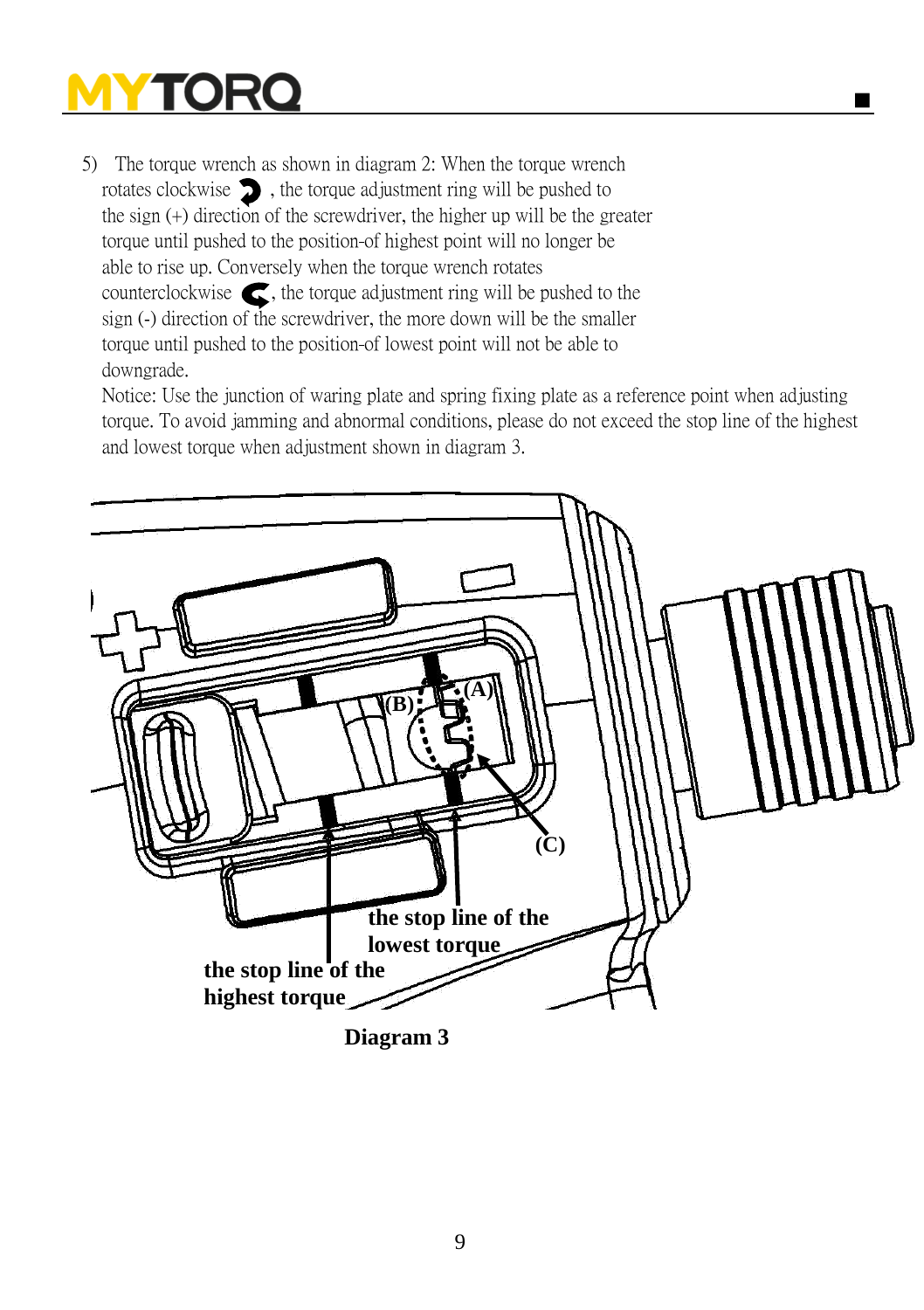5) The torque wrench as shown in diagram 2: When the torque wrench rotates clockwise  $\sum$ , the torque adjustment ring will be pushed to the sign (+) direction of the screwdriver, the higher up will be the greater torque until pushed to the position of highest point will no longer be able to rise up. Conversely when the torque wrench rotates counterclockwise  $\epsilon$ , the torque adjustment ring will be pushed to the sign (-) direction of the screwdriver, the more down will be the smaller torque until pushed to the position of lowest point will not be able to downgrade.

Notice: Use the junction of waring plate and spring fixing plate as a reference point when adjusting torque. To avoid jamming and abnormal conditions, please do not exceed the stop line of the highest and lowest torque when adjustment shown in diagram 3.

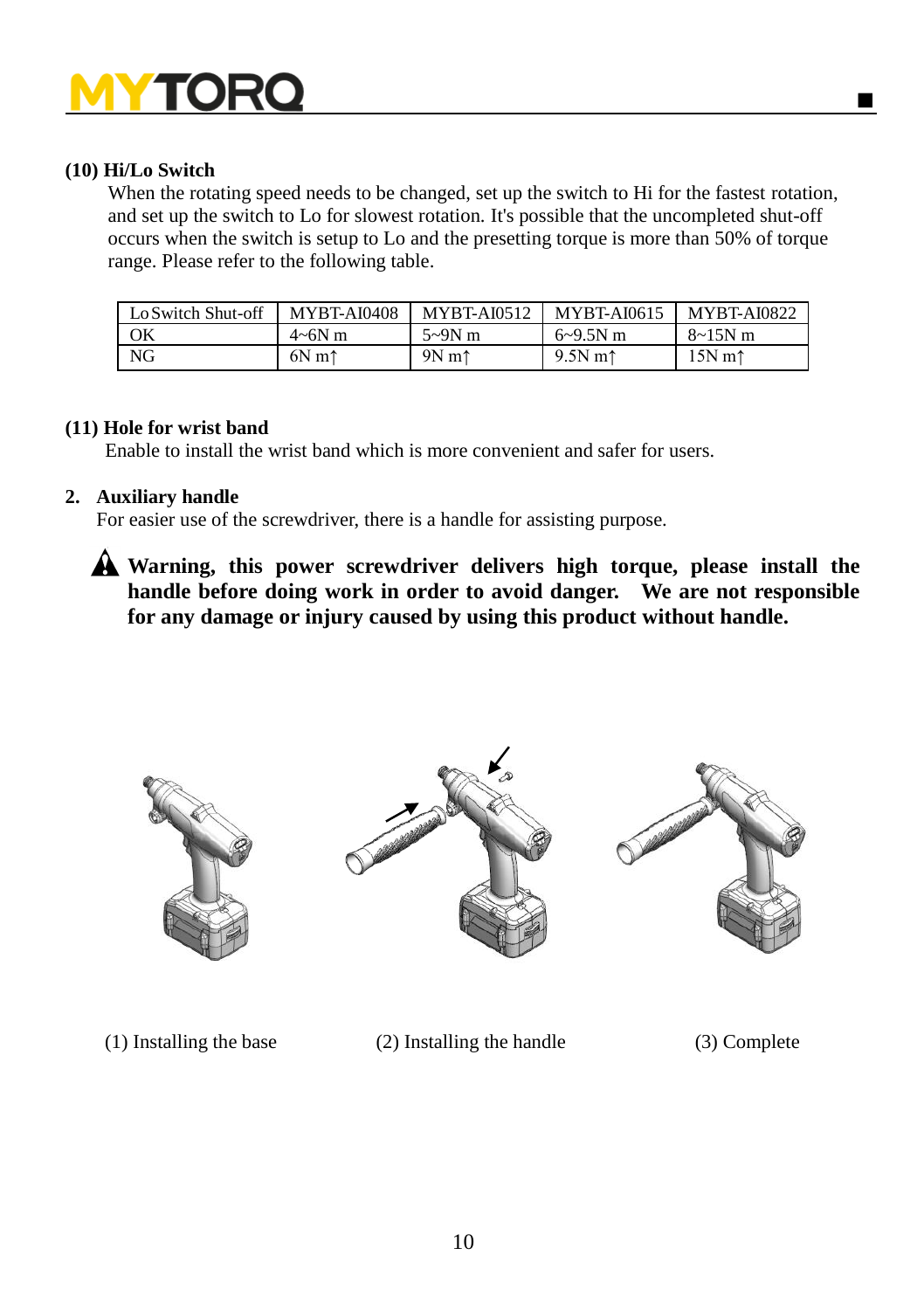### **(10) Hi/Lo Switch**

When the rotating speed needs to be changed, set up the switch to Hi for the fastest rotation, and set up the switch to Lo for slowest rotation. It's possible that the uncompleted shut-off occurs when the switch is setup to Lo and the presetting torque is more than 50% of torque range. Please refer to the following table.

| Lo Switch Shut-off | <b>MYBT-AI0408</b> | <b>MYBT-AI0512</b> | <b>MYBT-AI0615</b>  | <b>MYBT-AI0822</b>                       |
|--------------------|--------------------|--------------------|---------------------|------------------------------------------|
| OK                 | $4\neg 6N$ m       | $5-9N$ m           | $6 - 9.5N$ m        | $8 - 15N$ m                              |
| NG                 | $6N \text{ m}$     | $9N \text{ m}$     | $9.5N$ m $\uparrow$ | $15N$ m <sup><math>\uparrow</math></sup> |

#### **(11) Hole for wrist band**

Enable to install the wrist band which is more convenient and safer for users.

#### **2. Auxiliary handle**

For easier use of the screwdriver, there is a handle for assisting purpose.

**Warning, this power screwdriver delivers high torque, please install the handle before doing work in order to avoid danger. We are not responsible for any damage or injury caused by using this product without handle.** 







(1) Installing the base (2) Installing the handle (3) Complete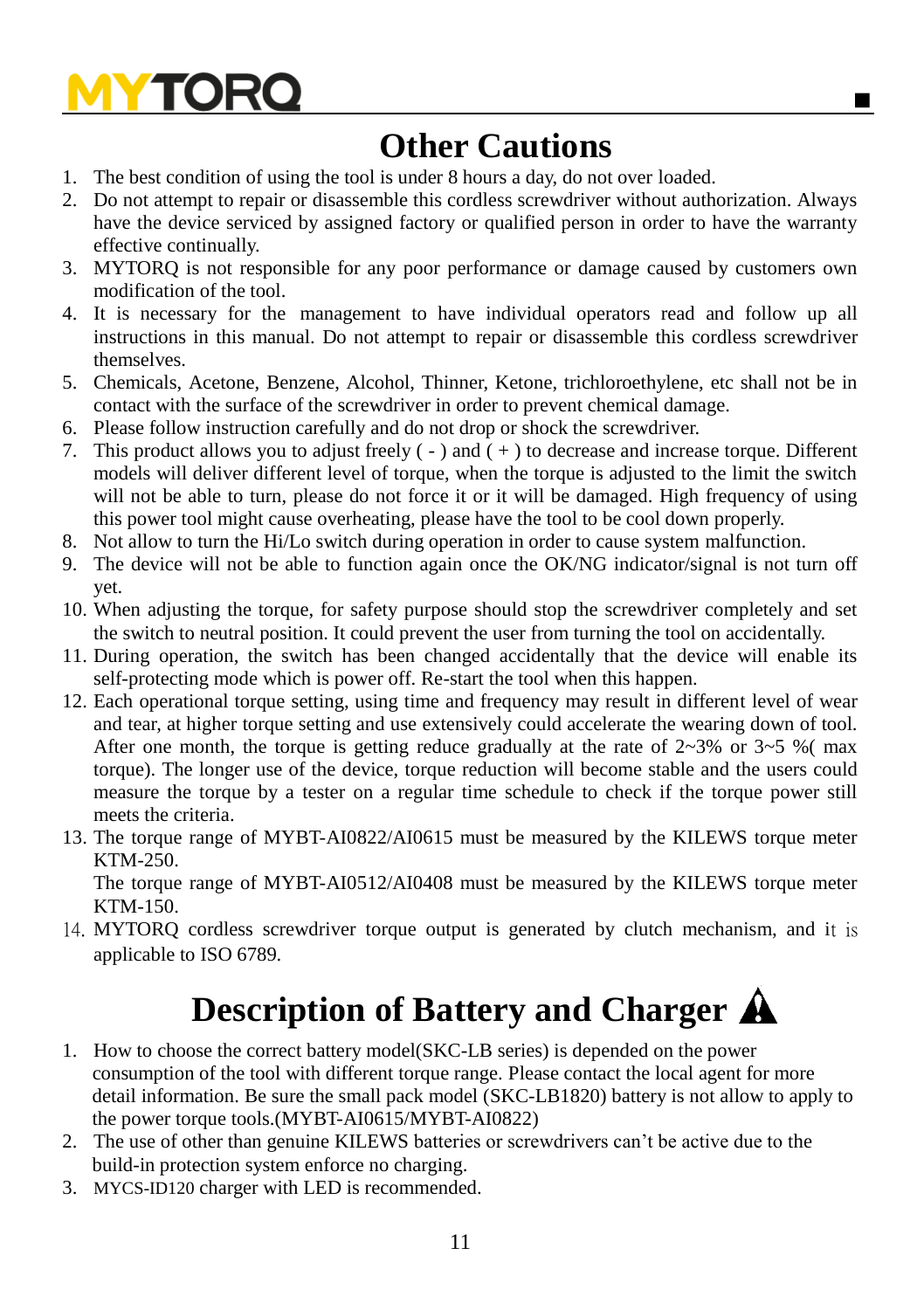### **Other Cautions**

- 1. The best condition of using the tool is under 8 hours a day, do not over loaded.
- 2. Do not attempt to repair or disassemble this cordless screwdriver without authorization. Always have the device serviced by assigned factory or qualified person in order to have the warranty effective continually.
- 3. MYTORQ is not responsible for any poor performance or damage caused by customers own modification of the tool.
- 4. It is necessary for the management to have individual operators read and follow up all instructions in this manual. Do not attempt to repair or disassemble this cordless screwdriver themselves.
- 5. Chemicals, Acetone, Benzene, Alcohol, Thinner, Ketone, trichloroethylene, etc shall not be in contact with the surface of the screwdriver in order to prevent chemical damage.
- 6. Please follow instruction carefully and do not drop or shock the screwdriver.
- 7. This product allows you to adjust freely ( ) and ( + ) to decrease and increase torque. Different models will deliver different level of torque, when the torque is adjusted to the limit the switch will not be able to turn, please do not force it or it will be damaged. High frequency of using this power tool might cause overheating, please have the tool to be cool down properly.
- 8. Not allow to turn the Hi/Lo switch during operation in order to cause system malfunction.
- 9. The device will not be able to function again once the OK/NG indicator/signal is not turn off yet.
- 10. When adjusting the torque, for safety purpose should stop the screwdriver completely and set the switch to neutral position. It could prevent the user from turning the tool on accidentally.
- 11. During operation, the switch has been changed accidentally that the device will enable its self-protecting mode which is power off. Re-start the tool when this happen.
- 12. Each operational torque setting, using time and frequency may result in different level of wear and tear, at higher torque setting and use extensively could accelerate the wearing down of tool. After one month, the torque is getting reduce gradually at the rate of  $2{\sim}3\%$  or  $3{\sim}5$  %(max torque). The longer use of the device, torque reduction will become stable and the users could measure the torque by a tester on a regular time schedule to check if the torque power still meets the criteria.
- 13. The torque range of MYBT-AI0822/AI0615 must be measured by the KILEWS torque meter KTM-250.

The torque range of MYBT-AI0512/AI0408 must be measured by the KILEWS torque meter KTM-150.

14. MYTORQ cordless screwdriver torque output is generated by clutch mechanism, and it is applicable to ISO 6789.

## **Description of Battery and Charger**

- 1. How to choose the correct battery model(SKC-LB series) is depended on the power consumption of the tool with different torque range. Please contact the local agent for more detail information. Be sure the small pack model (SKC-LB1820) battery is not allow to apply to the power torque tools.(MYBT-AI0615/MYBT-AI0822)
- 2. The use of other than genuine KILEWS batteries or screwdrivers can't be active due to the build-in protection system enforce no charging.
- 3. MYCS-ID120 charger with LED is recommended.